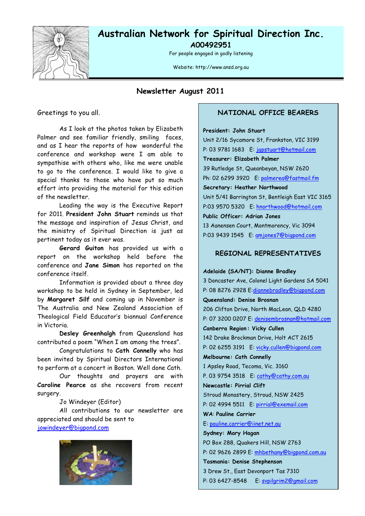

### **Australian Network for Spiritual Direction Inc. A00492951**

For people engaged in godly listening

Website: http://www.ansd.org.au

### **Newsletter August 2011**

Greetings to you all.

As I look at the photos taken by Elizabeth Palmer and see familiar friendly, smiling faces, and as I hear the reports of how wonderful the conference and workshop were I am able to sympathise with others who, like me were unable to go to the conference. I would like to give a special thanks to those who have put so much effort into providing the material for this edition of the newsletter.

Leading the way is the Executive Report for 2011. **President John Stuart** reminds us that the message and inspiration of Jesus Christ, and the ministry of Spiritual Direction is just as pertinent today as it ever was.

**Gerard Guiton** has provided us with a report on the workshop held before the conference and **Jane Simon** has reported on the conference itself.

Information is provided about a three day workshop to be held in Sydney in September, led by **Margaret Silf** and coming up in November is The Australia and New Zealand Association of Theological Field Educator's biannual Conference in Victoria.

**Desley Greenhalgh** from Queensland has contributed a poem "When I am among the trees".

Congratulations to **Cath Connelly** who has been invited by Spiritual Directors International to perform at a concert in Boston. Well done Cath.

Our thoughts and prayers are with **Caroline Pearce** as she recovers from recent surgery.

Jo Windeyer (Editor)

All contributions to our newsletter are appreciated and should be sent to jowindeyer@bigpond.com



#### **NATIONAL OFFICE BEARERS**

**President: John Stuart**

Unit 2/16 Sycamore St, Frankston, VIC 3199 P: 03 9781 1683 E: japstuart@hotmail.com **Treasurer: Elizabeth Palmer** 39 Rutledge St, Queanbeyan, NSW 2620 Ph: 02 6299 3920 E: palmerea@fastmail.fm **Secretary: Heather Northwood** Unit 5/41 Barrington St, Bentleigh East VIC 3165 P:03 9570 5320 E: hnorthwood@hotmail.com **Public Officer: Adrian Jones** 13 Aanensen Court, Montmorency, Vic 3094 P:03 9439 1545 E: amjones7@bigpond.com

#### **REGIONAL REPRESENTATIVES**

### **Adelaide (SA/NT): Dianne Bradley** 3 Doncaster Ave, Colonel Light Gardens SA 5041 P: 08 8276 2928 E:diannebradley@bigpond.com **Queensland: Denise Brosnan** 206 Clifton Drive, North MacLean, QLD 4280 P: 07 3200 0207 E: denisembrosnan@hotmail.com **Canberra Region : Vicky Cullen** 142 Drake Brockman Drive, Holt ACT 2615 P: 02 6255 3191 E: vicky.cullen@bigpond.com **Melbourne: Cath Connelly** 1 Apsley Road, Tecoma, Vic. 3160 P. 03 9754 3518 E: cathy@cathy.com.au **Newcastle: Pirrial Clift** Stroud Monastery, Stroud, NSW 2425 P: 02 4994 5511 E: pirrial@exemail.com **WA**: **Pauline Carrier** E: pauline.carrier@iinet.net.au **Sydney: Mary Hagan** PO Box 288, Quakers Hill, NSW 2763 P: 02 9626 2899 E: mhbethany@bigpond.com.au **Tasmania: Denise Stephenson** 3 Drew St., East Devonport Tas 7310 P: 03 6427-8548 E: svpilgrim2@gmail.com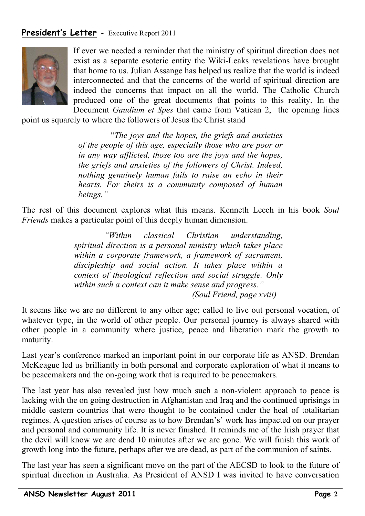## **President's Letter** - Executive Report 2011



If ever we needed a reminder that the ministry of spiritual direction does not exist as a separate esoteric entity the Wiki-Leaks revelations have brought that home to us. Julian Assange has helped us realize that the world is indeed interconnected and that the concerns of the world of spiritual direction are indeed the concerns that impact on all the world. The Catholic Church produced one of the great documents that points to this reality. In the Document *Gaudium et Spes* that came from Vatican 2, the opening lines

point us squarely to where the followers of Jesus the Christ stand

 "*The joys and the hopes, the griefs and anxieties of the people of this age, especially those who are poor or in any way afflicted, those too are the joys and the hopes, the griefs and anxieties of the followers of Christ. Indeed, nothing genuinely human fails to raise an echo in their hearts. For theirs is a community composed of human beings."*

The rest of this document explores what this means. Kenneth Leech in his book *Soul Friends* makes a particular point of this deeply human dimension.

> *"Within classical Christian understanding, spiritual direction is a personal ministry which takes place within a corporate framework, a framework of sacrament, discipleship and social action. It takes place within a context of theological reflection and social struggle. Only within such a context can it make sense and progress." (Soul Friend, page xviii)*

It seems like we are no different to any other age; called to live out personal vocation, of whatever type, in the world of other people. Our personal journey is always shared with other people in a community where justice, peace and liberation mark the growth to maturity.

Last year's conference marked an important point in our corporate life as ANSD. Brendan McKeague led us brilliantly in both personal and corporate exploration of what it means to be peacemakers and the on-going work that is required to be peacemakers.

The last year has also revealed just how much such a non-violent approach to peace is lacking with the on going destruction in Afghanistan and Iraq and the continued uprisings in middle eastern countries that were thought to be contained under the heal of totalitarian regimes. A question arises of course as to how Brendan's' work has impacted on our prayer and personal and community life. It is never finished. It reminds me of the Irish prayer that the devil will know we are dead 10 minutes after we are gone. We will finish this work of growth long into the future, perhaps after we are dead, as part of the communion of saints.

The last year has seen a significant move on the part of the AECSD to look to the future of spiritual direction in Australia. As President of ANSD I was invited to have conversation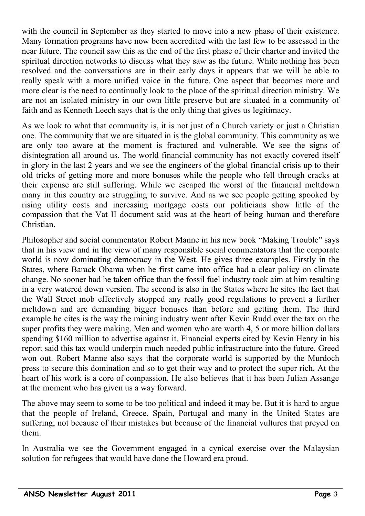with the council in September as they started to move into a new phase of their existence. Many formation programs have now been accredited with the last few to be assessed in the near future. The council saw this as the end of the first phase of their charter and invited the spiritual direction networks to discuss what they saw as the future. While nothing has been resolved and the conversations are in their early days it appears that we will be able to really speak with a more unified voice in the future. One aspect that becomes more and more clear is the need to continually look to the place of the spiritual direction ministry. We are not an isolated ministry in our own little preserve but are situated in a community of faith and as Kenneth Leech says that is the only thing that gives us legitimacy.

As we look to what that community is, it is not just of a Church variety or just a Christian one. The community that we are situated in is the global community. This community as we are only too aware at the moment is fractured and vulnerable. We see the signs of disintegration all around us. The world financial community has not exactly covered itself in glory in the last 2 years and we see the engineers of the global financial crisis up to their old tricks of getting more and more bonuses while the people who fell through cracks at their expense are still suffering. While we escaped the worst of the financial meltdown many in this country are struggling to survive. And as we see people getting spooked by rising utility costs and increasing mortgage costs our politicians show little of the compassion that the Vat II document said was at the heart of being human and therefore Christian.

Philosopher and social commentator Robert Manne in his new book "Making Trouble" says that in his view and in the view of many responsible social commentators that the corporate world is now dominating democracy in the West. He gives three examples. Firstly in the States, where Barack Obama when he first came into office had a clear policy on climate change. No sooner had he taken office than the fossil fuel industry took aim at him resulting in a very watered down version. The second is also in the States where he sites the fact that the Wall Street mob effectively stopped any really good regulations to prevent a further meltdown and are demanding bigger bonuses than before and getting them. The third example he cites is the way the mining industry went after Kevin Rudd over the tax on the super profits they were making. Men and women who are worth 4, 5 or more billion dollars spending \$160 million to advertise against it. Financial experts cited by Kevin Henry in his report said this tax would underpin much needed public infrastructure into the future. Greed won out. Robert Manne also says that the corporate world is supported by the Murdoch press to secure this domination and so to get their way and to protect the super rich. At the heart of his work is a core of compassion. He also believes that it has been Julian Assange at the moment who has given us a way forward.

The above may seem to some to be too political and indeed it may be. But it is hard to argue that the people of Ireland, Greece, Spain, Portugal and many in the United States are suffering, not because of their mistakes but because of the financial vultures that preyed on them.

In Australia we see the Government engaged in a cynical exercise over the Malaysian solution for refugees that would have done the Howard era proud.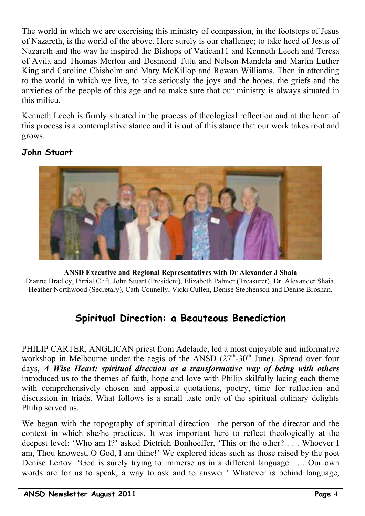The world in which we are exercising this ministry of compassion, in the footsteps of Jesus of Nazareth, is the world of the above. Here surely is our challenge; to take heed of Jesus of Nazareth and the way he inspired the Bishops of Vatican11 and Kenneth Leech and Teresa of Avila and Thomas Merton and Desmond Tutu and Nelson Mandela and Martin Luther King and Caroline Chisholm and Mary McKillop and Rowan Williams. Then in attending to the world in which we live, to take seriously the joys and the hopes, the griefs and the anxieties of the people of this age and to make sure that our ministry is always situated in this milieu.

Kenneth Leech is firmly situated in the process of theological reflection and at the heart of this process is a contemplative stance and it is out of this stance that our work takes root and grows.

## **John Stuart**



**ANSD Executive and Regional Representatives with Dr Alexander J Shaia** Dianne Bradley, Pirrial Clift, John Stuart (President), Elizabeth Palmer (Treasurer), Dr Alexander Shaia, Heather Northwood (Secretary), Cath Connelly, Vicki Cullen, Denise Stephenson and Denise Brosnan.

# **Spiritual Direction: a Beauteous Benediction**

PHILIP CARTER, ANGLICAN priest from Adelaide, led a most enjoyable and informative workshop in Melbourne under the aegis of the ANSD  $(27<sup>th</sup>-30<sup>th</sup>)$  June). Spread over four days, *A Wise Heart: spiritual direction as a transformative way of being with others* introduced us to the themes of faith, hope and love with Philip skilfully lacing each theme with comprehensively chosen and apposite quotations, poetry, time for reflection and discussion in triads. What follows is a small taste only of the spiritual culinary delights Philip served us.

We began with the topography of spiritual direction—the person of the director and the context in which she/he practices. It was important here to reflect theologically at the deepest level: 'Who am I?' asked Dietrich Bonhoeffer, 'This or the other? . . . Whoever I am, Thou knowest, O God, I am thine!' We explored ideas such as those raised by the poet Denise Lertov: 'God is surely trying to immerse us in a different language . . . Our own words are for us to speak, a way to ask and to answer.' Whatever is behind language,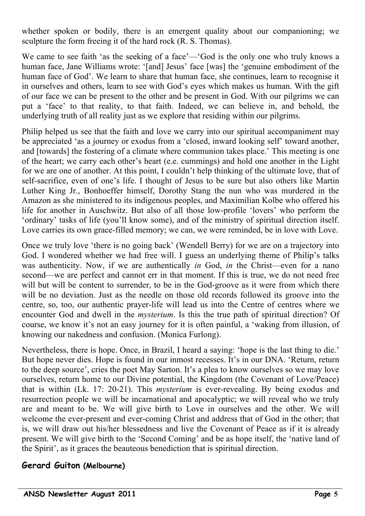whether spoken or bodily, there is an emergent quality about our companioning; we sculpture the form freeing it of the hard rock (R. S. Thomas).

We came to see faith 'as the seeking of a face'—'God is the only one who truly knows a human face, Jane Williams wrote: '[and] Jesus' face [was] the 'genuine embodiment of the human face of God'. We learn to share that human face, she continues, learn to recognise it in ourselves and others, learn to see with God's eyes which makes us human. With the gift of our face we can be present to the other and be present in God. With our pilgrims we can put a 'face' to that reality, to that faith. Indeed, we can believe in, and behold, the underlying truth of all reality just as we explore that residing within our pilgrims.

Philip helped us see that the faith and love we carry into our spiritual accompaniment may be appreciated 'as a journey or exodus from a 'closed, inward looking self' toward another, and [towards] the fostering of a climate where communion takes place.' This meeting is one of the heart; we carry each other's heart (e.e. cummings) and hold one another in the Light for we are one of another. At this point, I couldn't help thinking of the ultimate love, that of self-sacrifice, even of one's life. I thought of Jesus to be sure but also others like Martin Luther King Jr., Bonhoeffer himself, Dorothy Stang the nun who was murdered in the Amazon as she ministered to its indigenous peoples, and Maximilian Kolbe who offered his life for another in Auschwitz. But also of all those low-profile 'lovers' who perform the 'ordinary' tasks of life (you'll know some), and of the ministry of spiritual direction itself. Love carries its own grace-filled memory; we can, we were reminded, be in love with Love.

Once we truly love 'there is no going back' (Wendell Berry) for we are on a trajectory into God. I wondered whether we had free will. I guess an underlying theme of Philip's talks was authenticity. Now, if we are authentically *in* God, *in* the Christ—even for a nano second—we are perfect and cannot err in that moment. If this is true, we do not need free will but will be content to surrender, to be in the God-groove as it were from which there will be no deviation. Just as the needle on those old records followed its groove into the centre, so, too, our authentic prayer-life will lead us into the Centre of centres where we encounter God and dwell in the *mysterium*. Is this the true path of spiritual direction? Of course, we know it's not an easy journey for it is often painful, a 'waking from illusion, of knowing our nakedness and confusion. (Monica Furlong).

Nevertheless, there is hope. Once, in Brazil, I heard a saying: 'hope is the last thing to die.' But hope never dies. Hope is found in our inmost recesses. It's in our DNA. 'Return, return to the deep source', cries the poet May Sarton. It's a plea to know ourselves so we may love ourselves, return home to our Divine potential, the Kingdom (the Covenant of Love/Peace) that is within (Lk. 17: 20-21). This *mysterium* is ever-revealing. By being exodus and resurrection people we will be incarnational and apocalyptic; we will reveal who we truly are and meant to be. We will give birth to Love in ourselves and the other. We will welcome the ever-present and ever-coming Christ and address that of God in the other; that is, we will draw out his/her blessedness and live the Covenant of Peace as if it is already present. We will give birth to the 'Second Coming' and be as hope itself, the 'native land of the Spirit', as it graces the beauteous benediction that is spiritual direction.

## **Gerard Guiton (Melbourne)**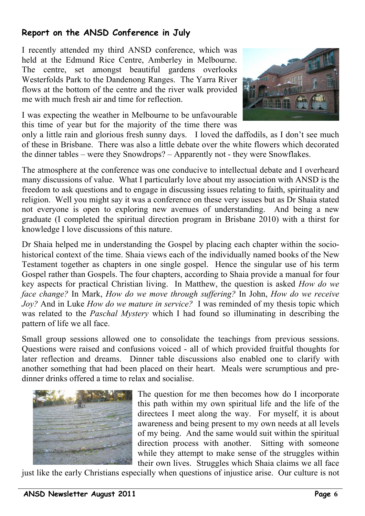# **Report on the ANSD Conference in July**

I recently attended my third ANSD conference, which was held at the Edmund Rice Centre, Amberley in Melbourne. The centre, set amongst beautiful gardens overlooks Westerfolds Park to the Dandenong Ranges. The Yarra River flows at the bottom of the centre and the river walk provided me with much fresh air and time for reflection.





only a little rain and glorious fresh sunny days. I loved the daffodils, as I don't see much of these in Brisbane. There was also a little debate over the white flowers which decorated the dinner tables – were they Snowdrops? – Apparently not - they were Snowflakes.

The atmosphere at the conference was one conducive to intellectual debate and I overheard many discussions of value. What I particularly love about my association with ANSD is the freedom to ask questions and to engage in discussing issues relating to faith, spirituality and religion. Well you might say it was a conference on these very issues but as Dr Shaia stated not everyone is open to exploring new avenues of understanding. And being a new graduate (I completed the spiritual direction program in Brisbane 2010) with a thirst for knowledge I love discussions of this nature.

Dr Shaia helped me in understanding the Gospel by placing each chapter within the sociohistorical context of the time. Shaia views each of the individually named books of the New Testament together as chapters in one single gospel. Hence the singular use of his term Gospel rather than Gospels. The four chapters, according to Shaia provide a manual for four key aspects for practical Christian living. In Matthew, the question is asked *How do we face change?* In Mark, *How do we move through suffering?* In John, *How do we receive Joy?* And in Luke *How do we mature in service?* I was reminded of my thesis topic which was related to the *Paschal Mystery* which I had found so illuminating in describing the pattern of life we all face.

Small group sessions allowed one to consolidate the teachings from previous sessions. Questions were raised and confusions voiced - all of which provided fruitful thoughts for later reflection and dreams. Dinner table discussions also enabled one to clarify with another something that had been placed on their heart. Meals were scrumptious and predinner drinks offered a time to relax and socialise.



The question for me then becomes how do I incorporate this path within my own spiritual life and the life of the directees I meet along the way. For myself, it is about awareness and being present to my own needs at all levels of my being. And the same would suit within the spiritual direction process with another. Sitting with someone while they attempt to make sense of the struggles within their own lives. Struggles which Shaia claims we all face

just like the early Christians especially when questions of injustice arise. Our culture is not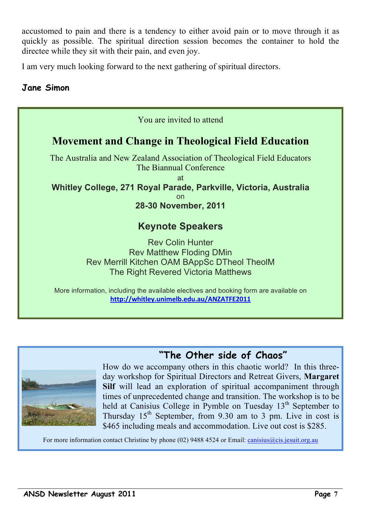accustomed to pain and there is a tendency to either avoid pain or to move through it as quickly as possible. The spiritual direction session becomes the container to hold the directee while they sit with their pain, and even joy.

I am very much looking forward to the next gathering of spiritual directors.

## **Jane Simon**

| You are invited to attend                                                                                                                                                                                           |
|---------------------------------------------------------------------------------------------------------------------------------------------------------------------------------------------------------------------|
| <b>Movement and Change in Theological Field Education</b>                                                                                                                                                           |
| The Australia and New Zealand Association of Theological Field Educators<br>The Biannual Conference<br>at<br>Whitley College, 271 Royal Parade, Parkville, Victoria, Australia<br><b>on</b><br>28-30 November, 2011 |
| <b>Keynote Speakers</b>                                                                                                                                                                                             |
| <b>Rev Colin Hunter</b><br><b>Rev Matthew Floding DMin</b><br>Rev Merrill Kitchen OAM BAppSc DTheol TheolM<br>The Right Revered Victoria Matthews                                                                   |
| More information, including the available electives and booking form are available on                                                                                                                               |

http://whitley.unimelb.edu.au/ANZATFE2011



# **"The Other side of Chaos"**

How do we accompany others in this chaotic world? In this threeday workshop for Spiritual Directors and Retreat Givers, **Margaret Silf** will lead an exploration of spiritual accompaniment through times of unprecedented change and transition. The workshop is to be held at Canisius College in Pymble on Tuesday 13<sup>th</sup> September to Thursday  $15<sup>th</sup>$  September, from 9.30 am to 3 pm. Live in cost is \$465 including meals and accommodation. Live out cost is \$285.

For more information contact Christine by phone (02) 9488 4524 or Email: canisius@cis.jesuit.org.au